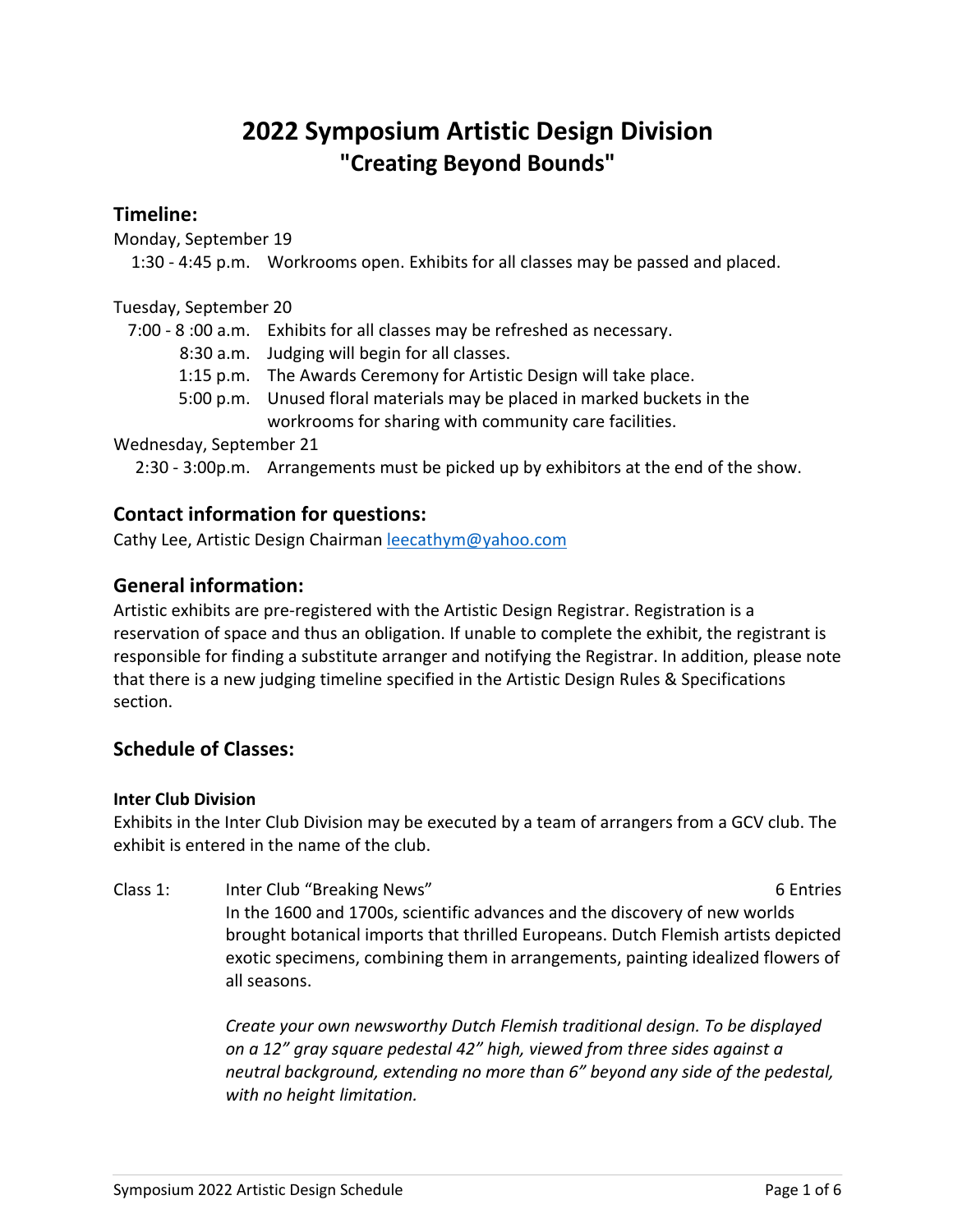# **2022 Symposium Artistic Design Division "Creating Beyond Bounds"**

### **Timeline:**

Monday, September 19

1:30 - 4:45 p.m. Workrooms open. Exhibits for all classes may be passed and placed.

#### Tuesday, September 20

7:00 - 8 :00 a.m. Exhibits for all classes may be refreshed as necessary.

- 8:30 a.m. Judging will begin for all classes.
- 1:15 p.m. The Awards Ceremony for Artistic Design will take place.
- 5:00 p.m. Unused floral materials may be placed in marked buckets in the workrooms for sharing with community care facilities.

#### Wednesday, September 21

2:30 - 3:00p.m. Arrangements must be picked up by exhibitors at the end of the show.

### **Contact information for questions:**

Cathy Lee, Artistic Design Chairman leecathym@yahoo.com

## **General information:**

Artistic exhibits are pre-registered with the Artistic Design Registrar. Registration is a reservation of space and thus an obligation. If unable to complete the exhibit, the registrant is responsible for finding a substitute arranger and notifying the Registrar. In addition, please note that there is a new judging timeline specified in the Artistic Design Rules & Specifications section.

## **Schedule of Classes:**

#### **Inter Club Division**

Exhibits in the Inter Club Division may be executed by a team of arrangers from a GCV club. The exhibit is entered in the name of the club.

Class 1: Inter Club "Breaking News" and the club of Entries 6 Entries In the 1600 and 1700s, scientific advances and the discovery of new worlds brought botanical imports that thrilled Europeans. Dutch Flemish artists depicted exotic specimens, combining them in arrangements, painting idealized flowers of all seasons.

> *Create your own newsworthy Dutch Flemish traditional design. To be displayed on a 12" gray square pedestal 42" high, viewed from three sides against a neutral background, extending no more than 6" beyond any side of the pedestal, with no height limitation.*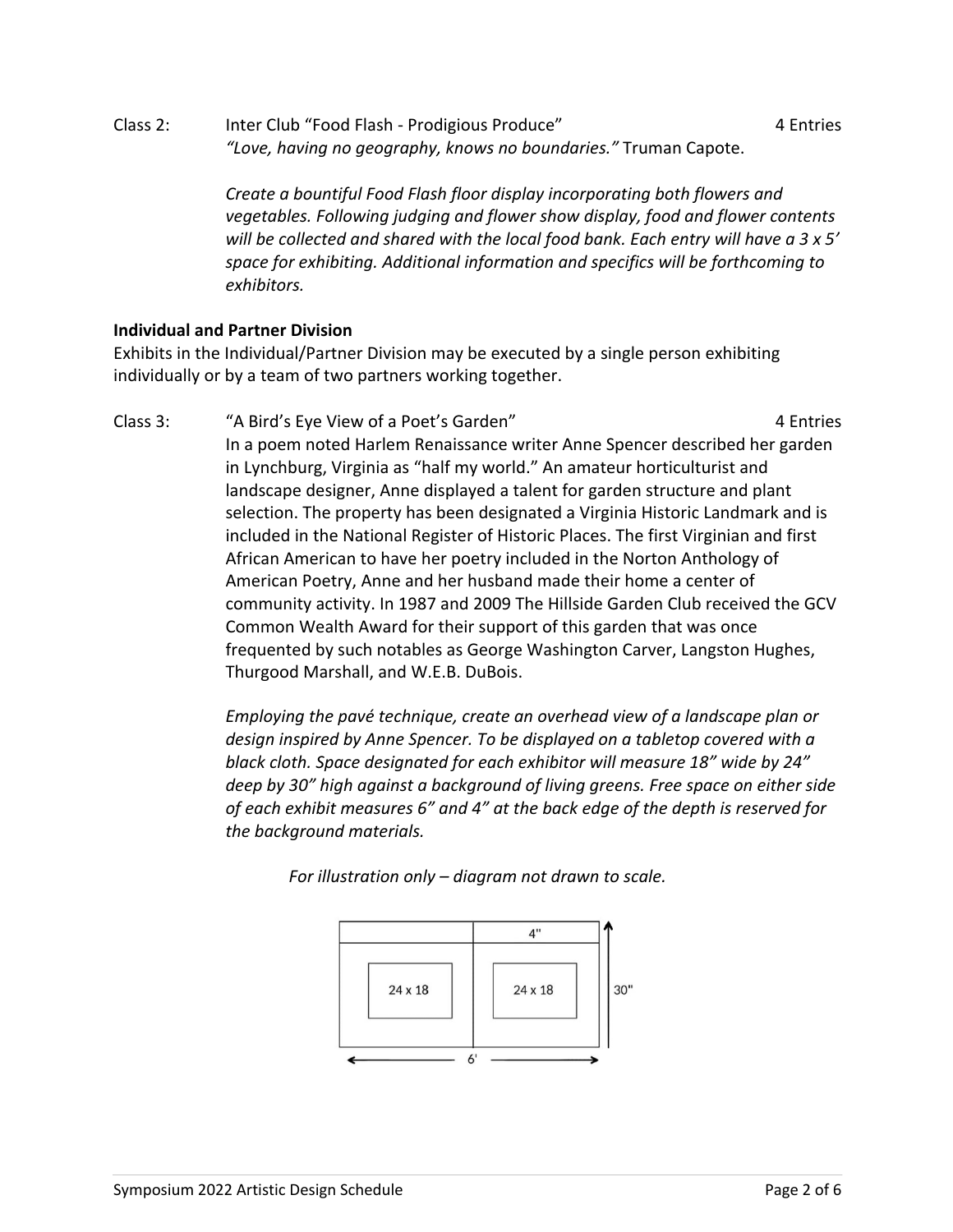Class 2: Inter Club "Food Flash - Prodigious Produce" 4 Entries *"Love, having no geography, knows no boundaries."* Truman Capote.

> *Create a bountiful Food Flash floor display incorporating both flowers and vegetables. Following judging and flower show display, food and flower contents will be collected and shared with the local food bank. Each entry will have a 3 x 5' space for exhibiting. Additional information and specifics will be forthcoming to*

### **Individual and Partner Division**

*exhibitors.*

Exhibits in the Individual/Partner Division may be executed by a single person exhibiting individually or by a team of two partners working together.

Class 3: "A Bird's Eye View of a Poet's Garden" 4 Entries In a poem noted Harlem Renaissance writer Anne Spencer described her garden in Lynchburg, Virginia as "half my world." An amateur horticulturist and landscape designer, Anne displayed a talent for garden structure and plant selection. The property has been designated a Virginia Historic Landmark and is included in the National Register of Historic Places. The first Virginian and first African American to have her poetry included in the Norton Anthology of American Poetry, Anne and her husband made their home a center of community activity. In 1987 and 2009 The Hillside Garden Club received the GCV Common Wealth Award for their support of this garden that was once frequented by such notables as George Washington Carver, Langston Hughes, Thurgood Marshall, and W.E.B. DuBois.

> *Employing the pavé technique, create an overhead view of a landscape plan or design inspired by Anne Spencer. To be displayed on a tabletop covered with a black cloth. Space designated for each exhibitor will measure 18" wide by 24" deep by 30" high against a background of living greens. Free space on either side of each exhibit measures 6" and 4" at the back edge of the depth is reserved for the background materials.*

> > *For illustration only – diagram not drawn to scale.*

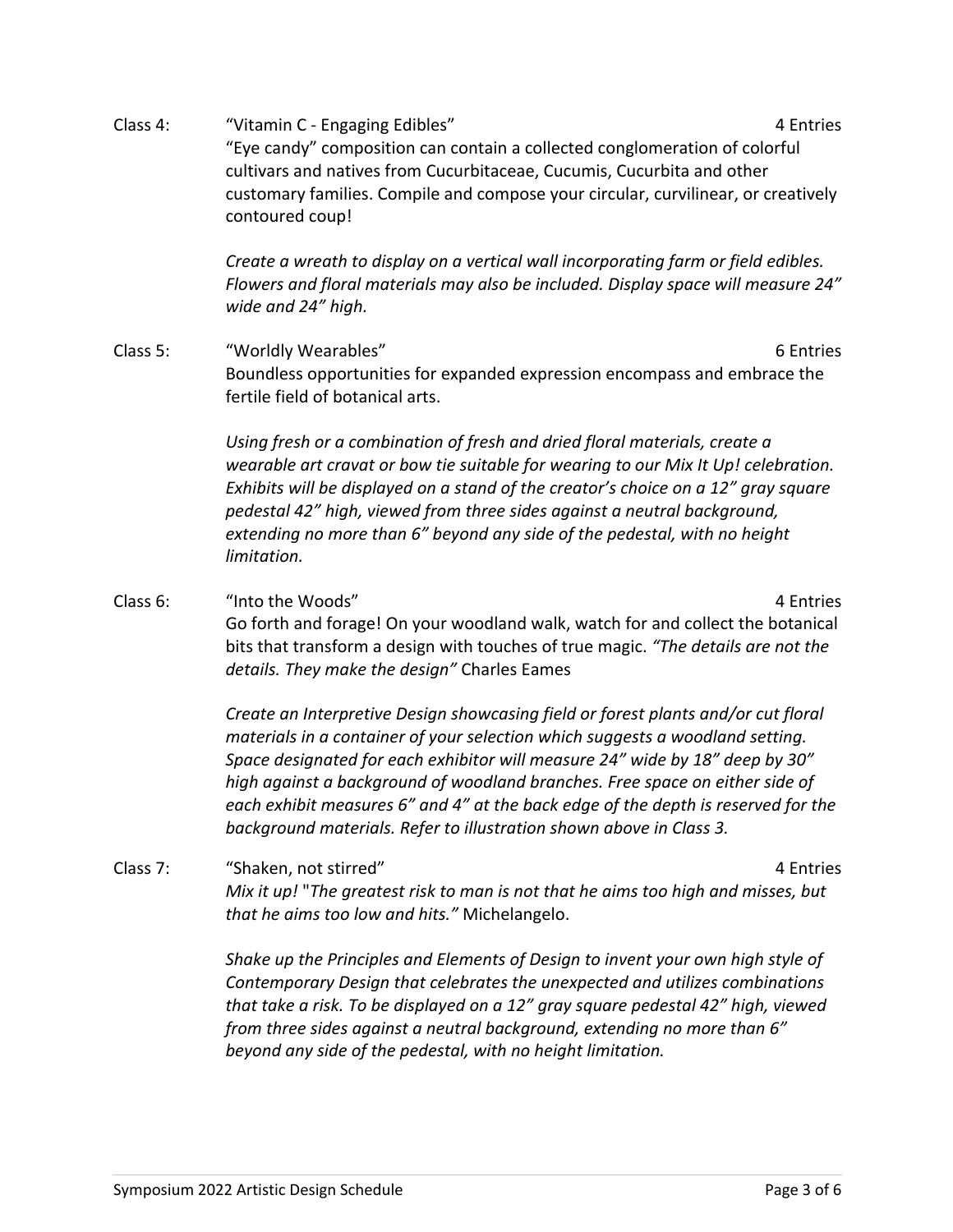Class 4: "Vitamin C - Engaging Edibles" And American American American American American American American American "Eye candy" composition can contain a collected conglomeration of colorful cultivars and natives from Cucurbitaceae, Cucumis, Cucurbita and other customary families. Compile and compose your circular, curvilinear, or creatively contoured coup!

> *Create a wreath to display on a vertical wall incorporating farm or field edibles. Flowers and floral materials may also be included. Display space will measure 24" wide and 24" high.*

Class 5: "Worldly Wearables" 6 Entries Boundless opportunities for expanded expression encompass and embrace the fertile field of botanical arts.

> *Using fresh or a combination of fresh and dried floral materials, create a wearable art cravat or bow tie suitable for wearing to our Mix It Up! celebration. Exhibits will be displayed on a stand of the creator's choice on a 12" gray square pedestal 42" high, viewed from three sides against a neutral background, extending no more than 6" beyond any side of the pedestal, with no height limitation.*

Class 6: "Into the Woods" 4 Entries Go forth and forage! On your woodland walk, watch for and collect the botanical bits that transform a design with touches of true magic. *"The details are not the details. They make the design"* Charles Eames

> *Create an Interpretive Design showcasing field or forest plants and/or cut floral materials in a container of your selection which suggests a woodland setting. Space designated for each exhibitor will measure 24" wide by 18" deep by 30" high against a background of woodland branches. Free space on either side of each exhibit measures 6" and 4" at the back edge of the depth is reserved for the background materials. Refer to illustration shown above in Class 3.*

Class 7: "Shaken, not stirred" 4 Entries *Mix it up!* "*The greatest risk to man is not that he aims too high and misses, but that he aims too low and hits."* Michelangelo.

> *Shake up the Principles and Elements of Design to invent your own high style of Contemporary Design that celebrates the unexpected and utilizes combinations that take a risk. To be displayed on a 12" gray square pedestal 42" high, viewed from three sides against a neutral background, extending no more than 6" beyond any side of the pedestal, with no height limitation.*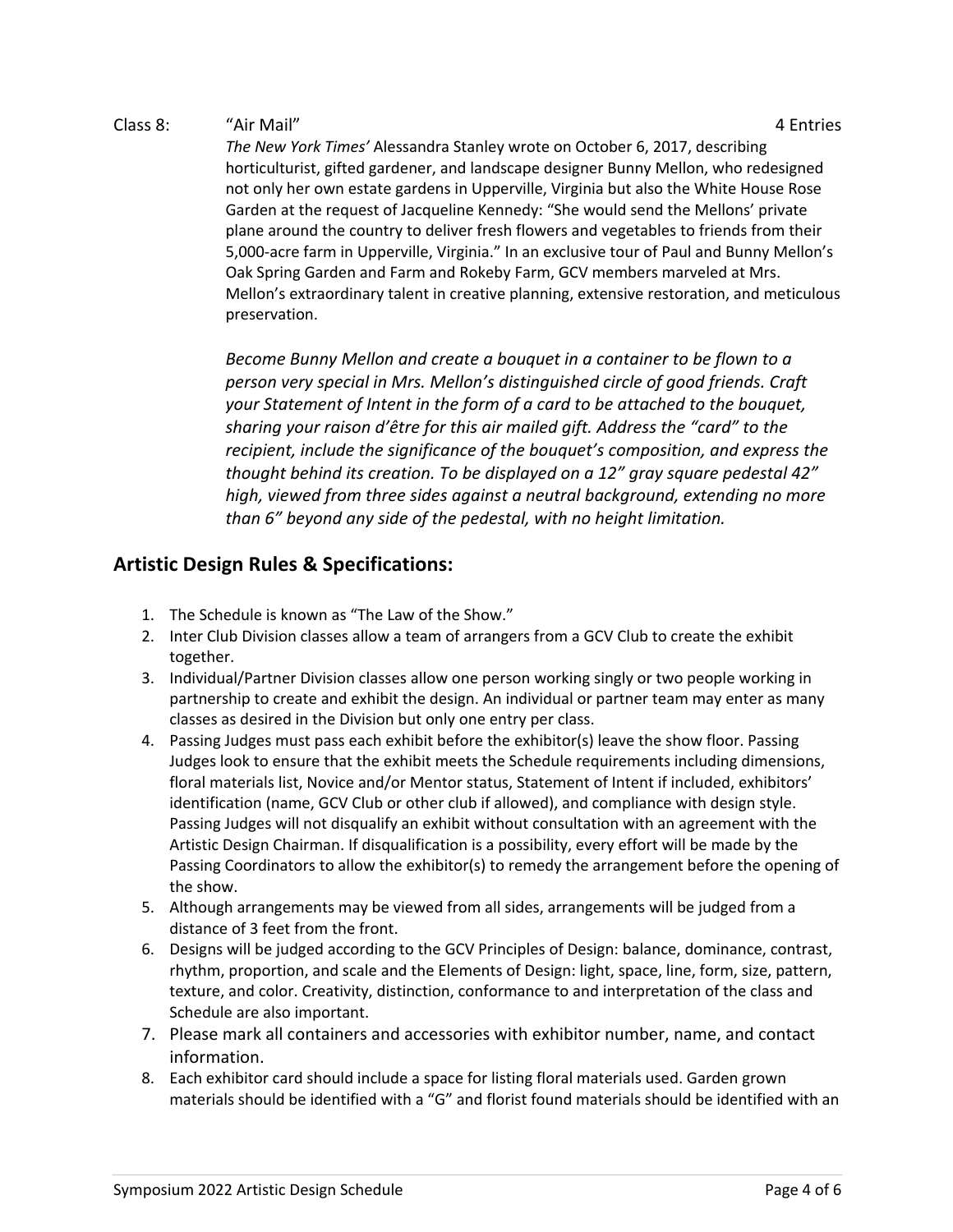#### Class 8: "Air Mail" 4 Entries

*The New York Times'* Alessandra Stanley wrote on October 6, 2017, describing horticulturist, gifted gardener, and landscape designer Bunny Mellon, who redesigned not only her own estate gardens in Upperville, Virginia but also the White House Rose Garden at the request of Jacqueline Kennedy: "She would send the Mellons' private plane around the country to deliver fresh flowers and vegetables to friends from their 5,000-acre farm in Upperville, Virginia." In an exclusive tour of Paul and Bunny Mellon's Oak Spring Garden and Farm and Rokeby Farm, GCV members marveled at Mrs. Mellon's extraordinary talent in creative planning, extensive restoration, and meticulous preservation.

*Become Bunny Mellon and create a bouquet in a container to be flown to a person very special in Mrs. Mellon's distinguished circle of good friends. Craft your Statement of Intent in the form of a card to be attached to the bouquet, sharing your raison d'être for this air mailed gift. Address the "card" to the recipient, include the significance of the bouquet's composition, and express the thought behind its creation. To be displayed on a 12" gray square pedestal 42" high, viewed from three sides against a neutral background, extending no more than 6" beyond any side of the pedestal, with no height limitation.*

## **Artistic Design Rules & Specifications:**

- 1. The Schedule is known as "The Law of the Show."
- 2. Inter Club Division classes allow a team of arrangers from a GCV Club to create the exhibit together.
- 3. Individual/Partner Division classes allow one person working singly or two people working in partnership to create and exhibit the design. An individual or partner team may enter as many classes as desired in the Division but only one entry per class.
- 4. Passing Judges must pass each exhibit before the exhibitor(s) leave the show floor. Passing Judges look to ensure that the exhibit meets the Schedule requirements including dimensions, floral materials list, Novice and/or Mentor status, Statement of Intent if included, exhibitors' identification (name, GCV Club or other club if allowed), and compliance with design style. Passing Judges will not disqualify an exhibit without consultation with an agreement with the Artistic Design Chairman. If disqualification is a possibility, every effort will be made by the Passing Coordinators to allow the exhibitor(s) to remedy the arrangement before the opening of the show.
- 5. Although arrangements may be viewed from all sides, arrangements will be judged from a distance of 3 feet from the front.
- 6. Designs will be judged according to the GCV Principles of Design: balance, dominance, contrast, rhythm, proportion, and scale and the Elements of Design: light, space, line, form, size, pattern, texture, and color. Creativity, distinction, conformance to and interpretation of the class and Schedule are also important.
- 7. Please mark all containers and accessories with exhibitor number, name, and contact information.
- 8. Each exhibitor card should include a space for listing floral materials used. Garden grown materials should be identified with a "G" and florist found materials should be identified with an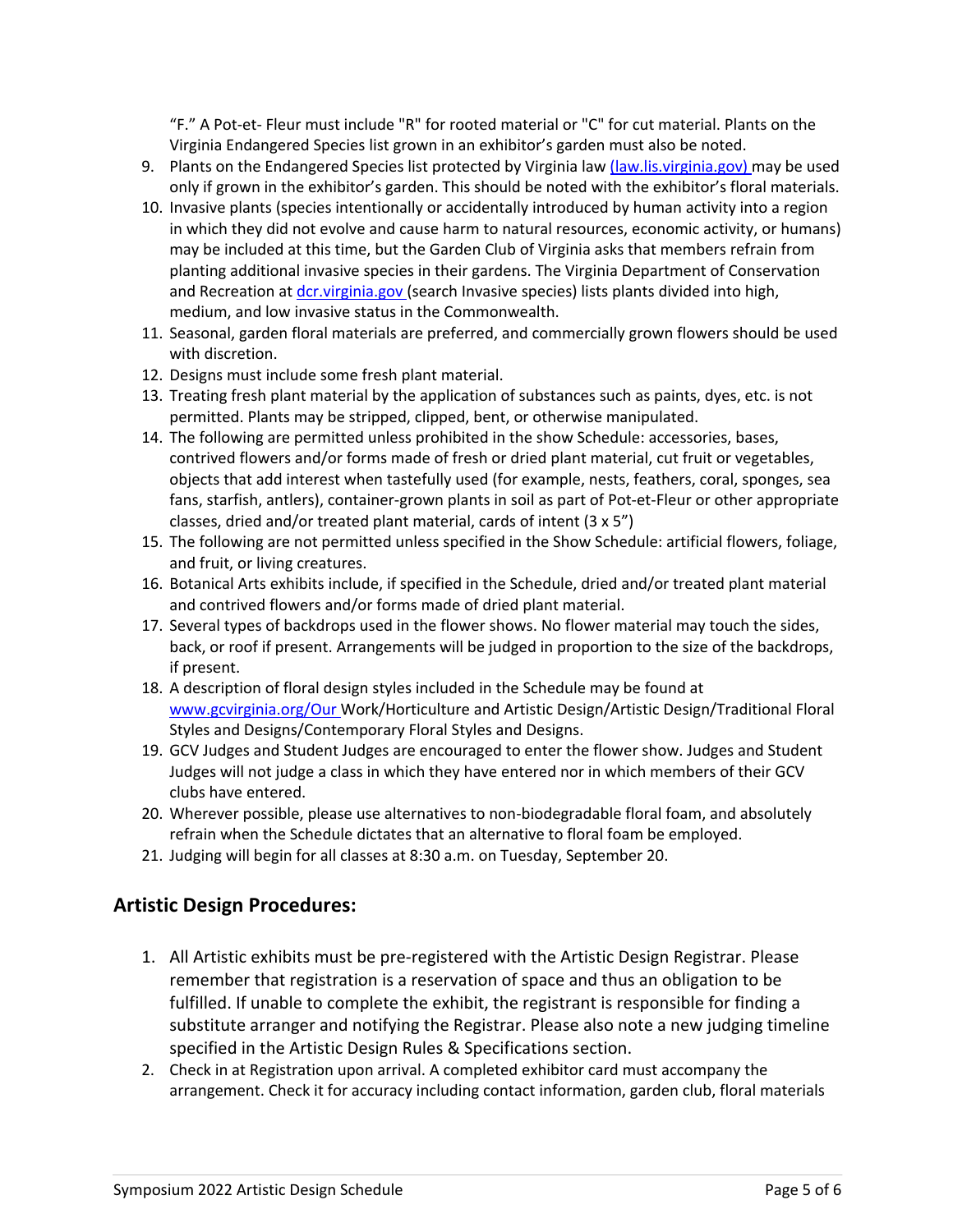"F." A Pot-et- Fleur must include "R" for rooted material or "C" for cut material. Plants on the Virginia Endangered Species list grown in an exhibitor's garden must also be noted.

- 9. Plants on the Endangered Species list protected by Virginia law (law.lis.virginia.gov) may be used only if grown in the exhibitor's garden. This should be noted with the exhibitor's floral materials.
- 10. Invasive plants (species intentionally or accidentally introduced by human activity into a region in which they did not evolve and cause harm to natural resources, economic activity, or humans) may be included at this time, but the Garden Club of Virginia asks that members refrain from planting additional invasive species in their gardens. The Virginia Department of Conservation and Recreation at dcr.virginia.gov (search Invasive species) lists plants divided into high, medium, and low invasive status in the Commonwealth.
- 11. Seasonal, garden floral materials are preferred, and commercially grown flowers should be used with discretion.
- 12. Designs must include some fresh plant material.
- 13. Treating fresh plant material by the application of substances such as paints, dyes, etc. is not permitted. Plants may be stripped, clipped, bent, or otherwise manipulated.
- 14. The following are permitted unless prohibited in the show Schedule: accessories, bases, contrived flowers and/or forms made of fresh or dried plant material, cut fruit or vegetables, objects that add interest when tastefully used (for example, nests, feathers, coral, sponges, sea fans, starfish, antlers), container-grown plants in soil as part of Pot-et-Fleur or other appropriate classes, dried and/or treated plant material, cards of intent (3 x 5")
- 15. The following are not permitted unless specified in the Show Schedule: artificial flowers, foliage, and fruit, or living creatures.
- 16. Botanical Arts exhibits include, if specified in the Schedule, dried and/or treated plant material and contrived flowers and/or forms made of dried plant material.
- 17. Several types of backdrops used in the flower shows. No flower material may touch the sides, back, or roof if present. Arrangements will be judged in proportion to the size of the backdrops, if present.
- 18. A description of floral design styles included in the Schedule may be found at www.gcvirginia.org/Our Work/Horticulture and Artistic Design/Artistic Design/Traditional Floral Styles and Designs/Contemporary Floral Styles and Designs.
- 19. GCV Judges and Student Judges are encouraged to enter the flower show. Judges and Student Judges will not judge a class in which they have entered nor in which members of their GCV clubs have entered.
- 20. Wherever possible, please use alternatives to non-biodegradable floral foam, and absolutely refrain when the Schedule dictates that an alternative to floral foam be employed.
- 21. Judging will begin for all classes at 8:30 a.m. on Tuesday, September 20.

## **Artistic Design Procedures:**

- 1. All Artistic exhibits must be pre-registered with the Artistic Design Registrar. Please remember that registration is a reservation of space and thus an obligation to be fulfilled. If unable to complete the exhibit, the registrant is responsible for finding a substitute arranger and notifying the Registrar. Please also note a new judging timeline specified in the Artistic Design Rules & Specifications section.
- 2. Check in at Registration upon arrival. A completed exhibitor card must accompany the arrangement. Check it for accuracy including contact information, garden club, floral materials